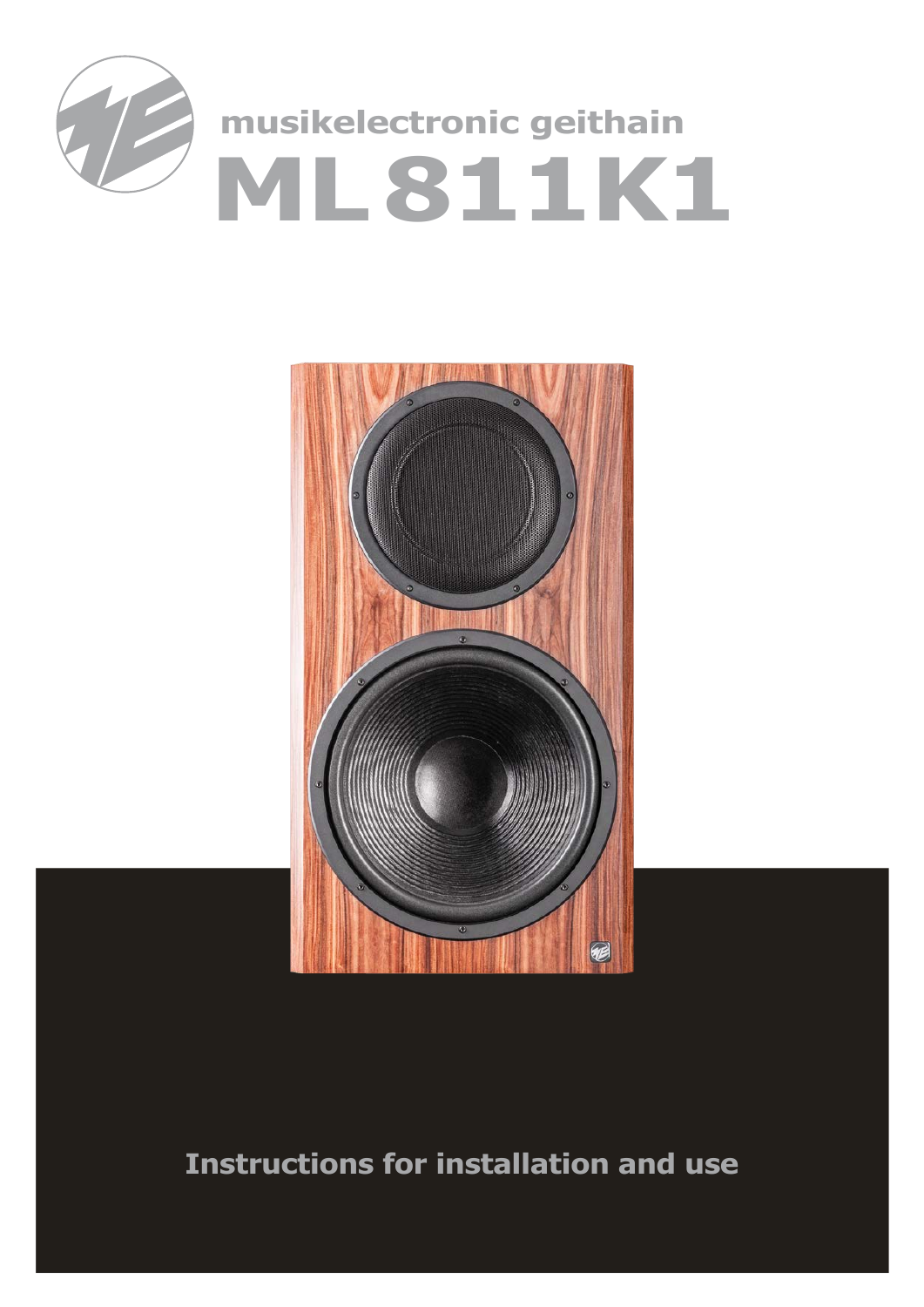



# **Instructions for installation and use**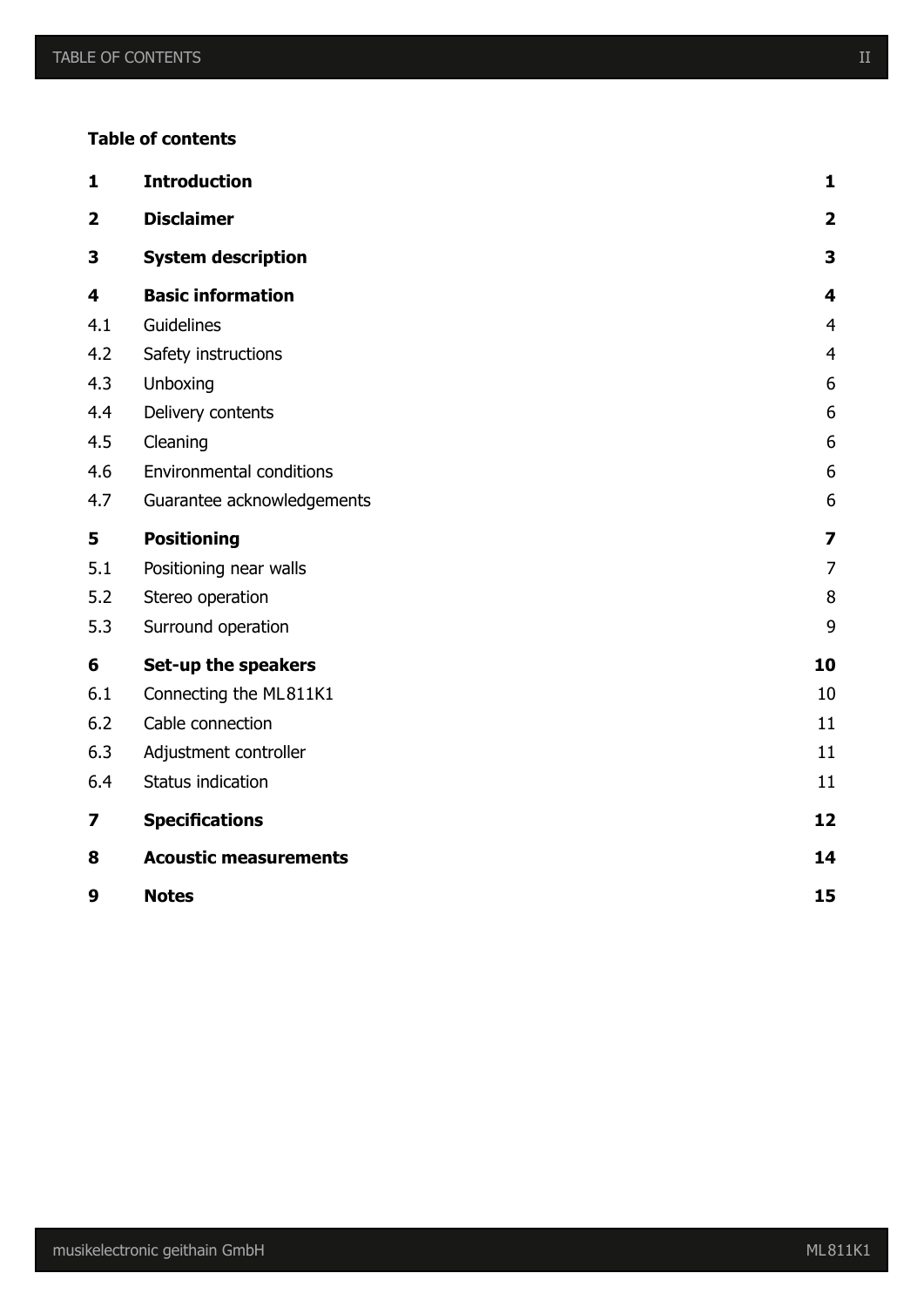### **Table of contents**

| $\mathbf{1}$            | <b>Introduction</b>             | $\mathbf{1}$            |
|-------------------------|---------------------------------|-------------------------|
| $\overline{\mathbf{2}}$ | <b>Disclaimer</b>               | $\overline{\mathbf{2}}$ |
| 3                       | <b>System description</b>       | 3                       |
| 4                       | <b>Basic information</b>        | 4                       |
| 4.1                     | Guidelines                      | $\overline{4}$          |
| 4.2                     | Safety instructions             | $\overline{4}$          |
| 4.3                     | Unboxing                        | 6                       |
| 4.4                     | Delivery contents               | 6                       |
| 4.5                     | Cleaning                        | 6                       |
| 4.6                     | <b>Environmental conditions</b> | 6                       |
| 4.7                     | Guarantee acknowledgements      | 6                       |
| 5                       | <b>Positioning</b>              | $\overline{\mathbf{z}}$ |
| 5.1                     | Positioning near walls          | $\overline{7}$          |
| 5.2                     | Stereo operation                | 8                       |
| 5.3                     | Surround operation              | 9                       |
| 6                       | Set-up the speakers             | 10                      |
| 6.1                     | Connecting the ML811K1          | 10                      |
| 6.2                     | Cable connection                | 11                      |
| 6.3                     | Adjustment controller           | 11                      |
| 6.4                     | Status indication               | 11                      |
| 7                       | <b>Specifications</b>           | 12                      |
| 8                       | <b>Acoustic measurements</b>    | 14                      |
| 9                       | <b>Notes</b>                    | 15                      |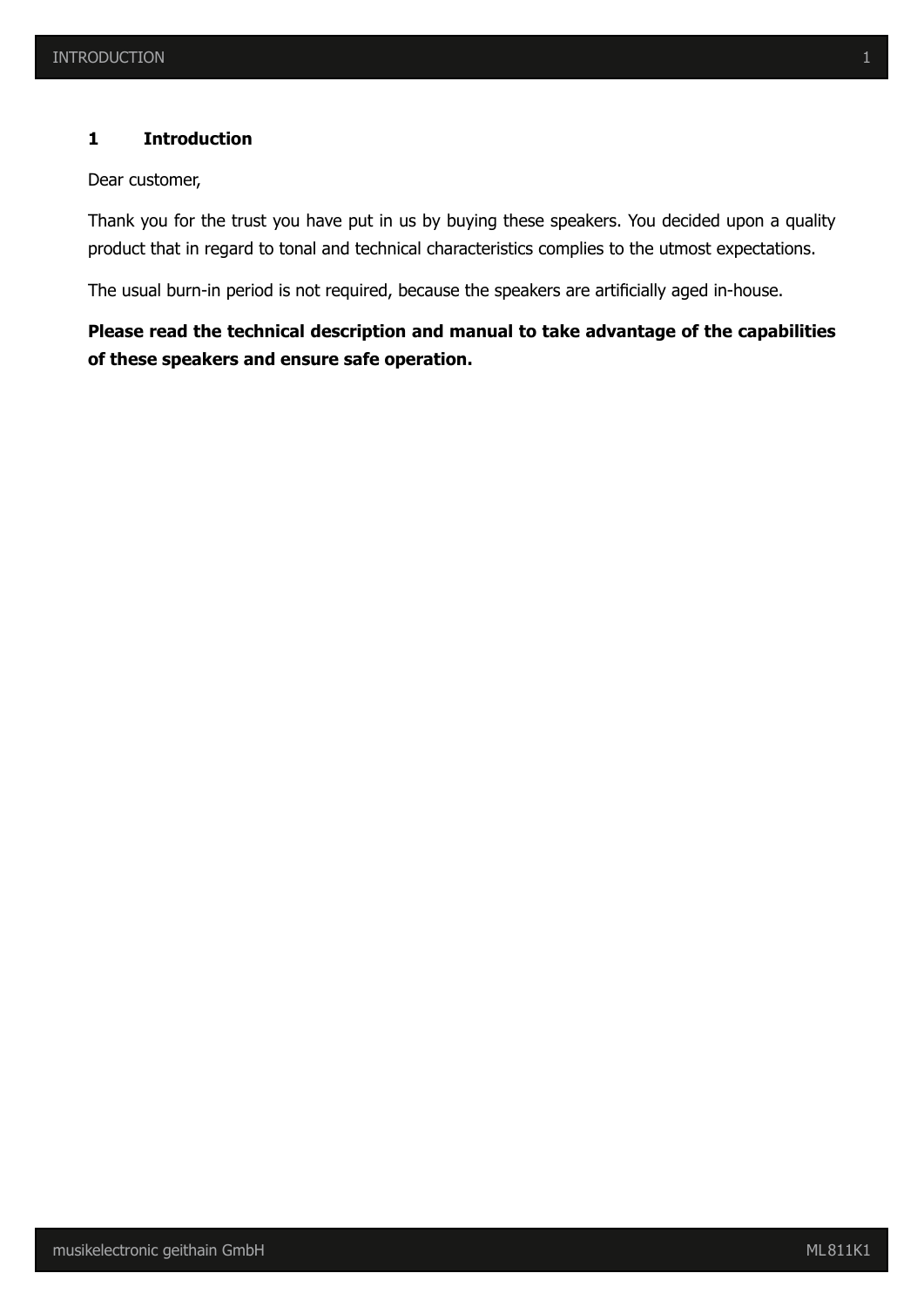#### **1 Introduction**

Dear customer,

Thank you for the trust you have put in us by buying these speakers. You decided upon a quality product that in regard to tonal and technical characteristics complies to the utmost expectations.

The usual burn-in period is not required, because the speakers are artificially aged in-house.

# **Please read the technical description and manual to take advantage of the capabilities of these speakers and ensure safe operation.**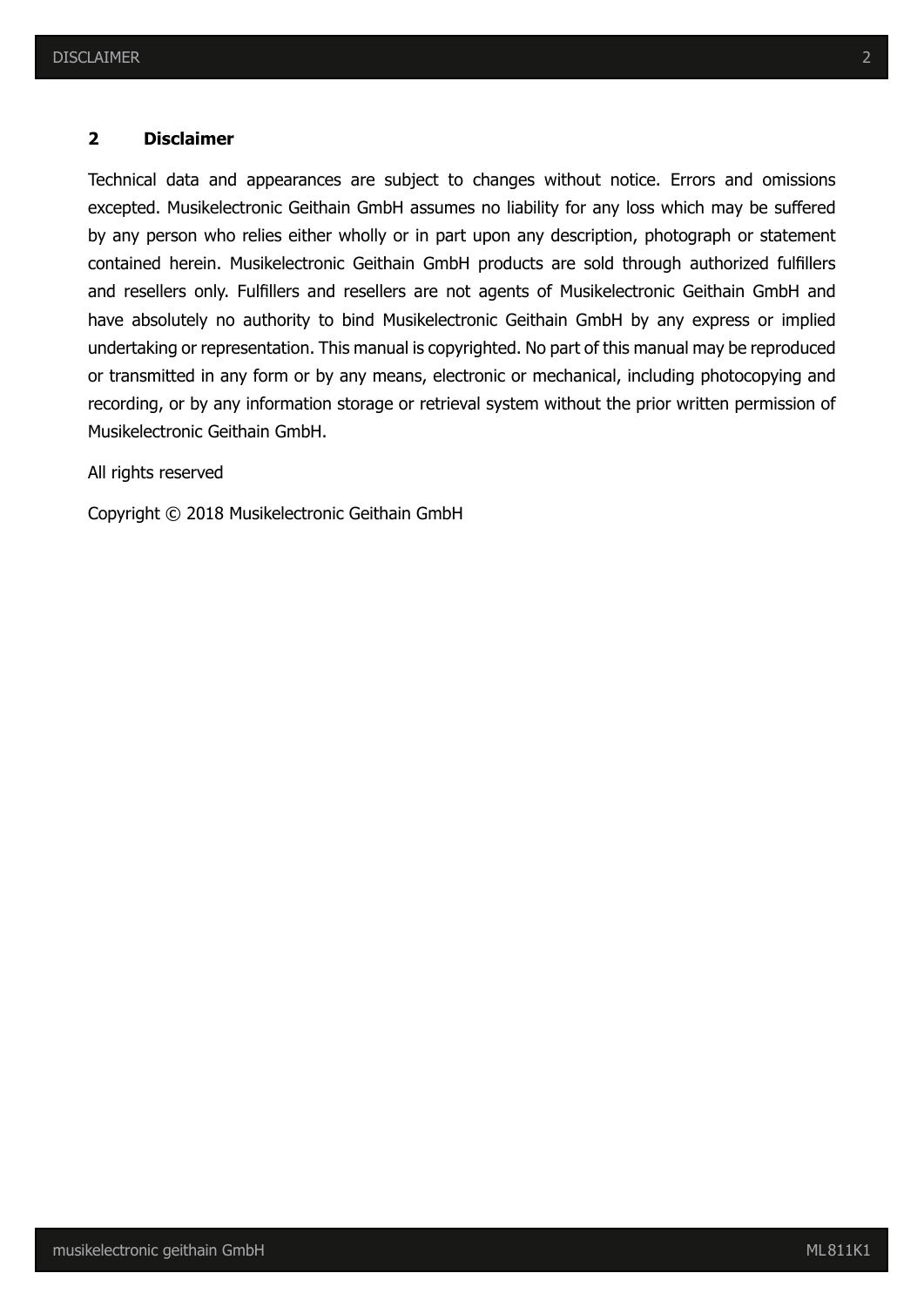#### **2 Disclaimer**

Technical data and appearances are subject to changes without notice. Errors and omissions excepted. Musikelectronic Geithain GmbH assumes no liability for any loss which may be suffered by any person who relies either wholly or in part upon any description, photograph or statement contained herein. Musikelectronic Geithain GmbH products are sold through authorized fulfillers and resellers only. Fulfillers and resellers are not agents of Musikelectronic Geithain GmbH and have absolutely no authority to bind Musikelectronic Geithain GmbH by any express or implied undertaking or representation. This manual is copyrighted. No part of this manual may be reproduced or transmitted in any form or by any means, electronic or mechanical, including photocopying and recording, or by any information storage or retrieval system without the prior written permission of Musikelectronic Geithain GmbH.

All rights reserved

Copyright © 2018 Musikelectronic Geithain GmbH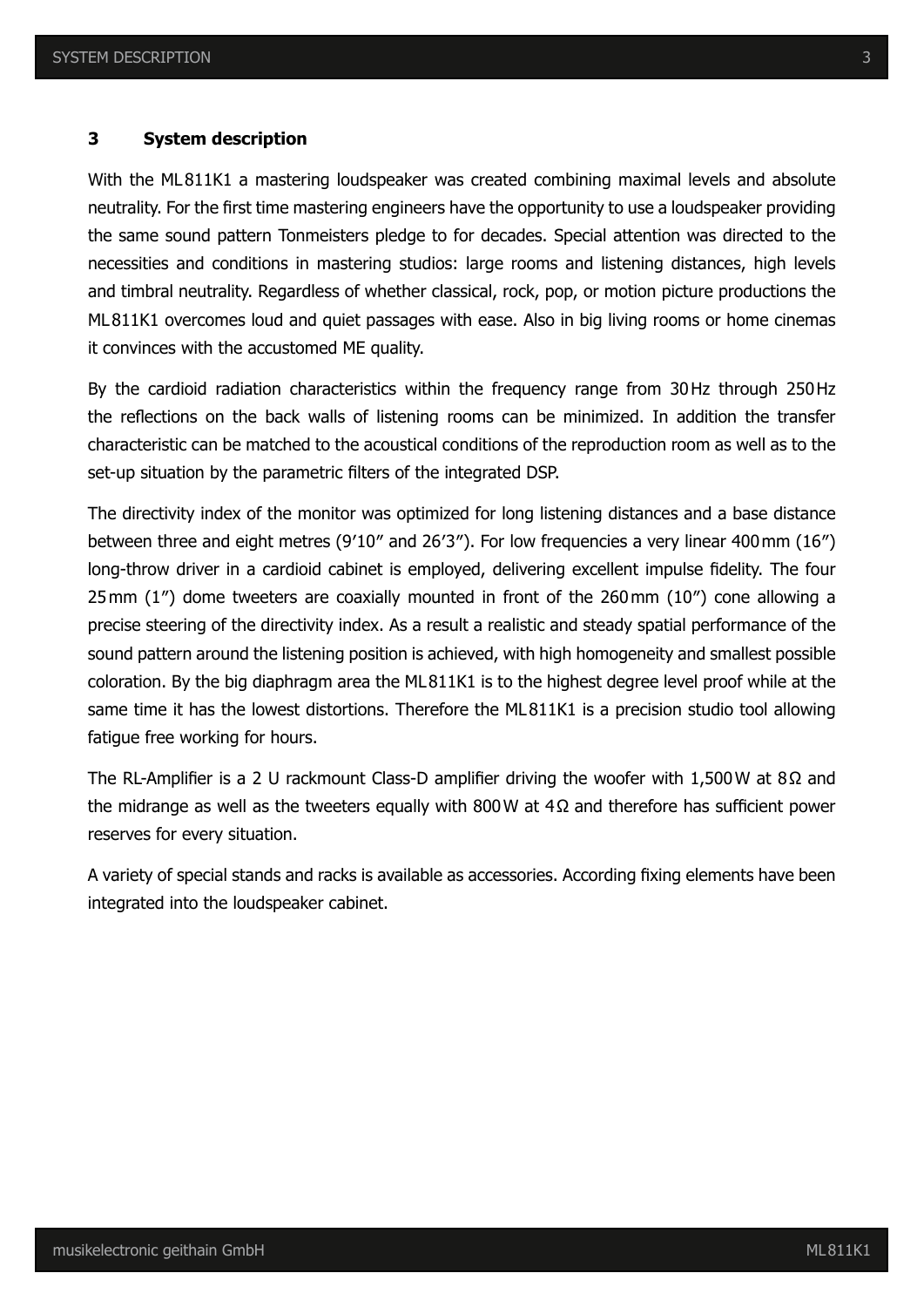#### **3 System description**

With the ML811K1 a mastering loudspeaker was created combining maximal levels and absolute neutrality. For the first time mastering engineers have the opportunity to use a loudspeaker providing the same sound pattern Tonmeisters pledge to for decades. Special attention was directed to the necessities and conditions in mastering studios: large rooms and listening distances, high levels and timbral neutrality. Regardless of whether classical, rock, pop, or motion picture productions the ML811K1 overcomes loud and quiet passages with ease. Also in big living rooms or home cinemas it convinces with the accustomed ME quality.

By the cardioid radiation characteristics within the frequency range from 30Hz through 250Hz the reflections on the back walls of listening rooms can be minimized. In addition the transfer characteristic can be matched to the acoustical conditions of the reproduction room as well as to the set-up situation by the parametric filters of the integrated DSP.

The directivity index of the monitor was optimized for long listening distances and a base distance between three and eight metres (9′10″ and 26′3″). For low frequencies a very linear 400mm (16″) long-throw driver in a cardioid cabinet is employed, delivering excellent impulse fidelity. The four 25mm (1″) dome tweeters are coaxially mounted in front of the 260mm (10″) cone allowing a precise steering of the directivity index. As a result a realistic and steady spatial performance of the sound pattern around the listening position is achieved, with high homogeneity and smallest possible coloration. By the big diaphragm area the ML811K1 is to the highest degree level proof while at the same time it has the lowest distortions. Therefore the ML811K1 is a precision studio tool allowing fatigue free working for hours.

The RL-Amplifier is a 2 U rackmount Class-D amplifier driving the woofer with 1,500W at 8Ω and the midrange as well as the tweeters equally with 800W at 4Ω and therefore has sufficient power reserves for every situation.

A variety of special stands and racks is available as accessories. According fixing elements have been integrated into the loudspeaker cabinet.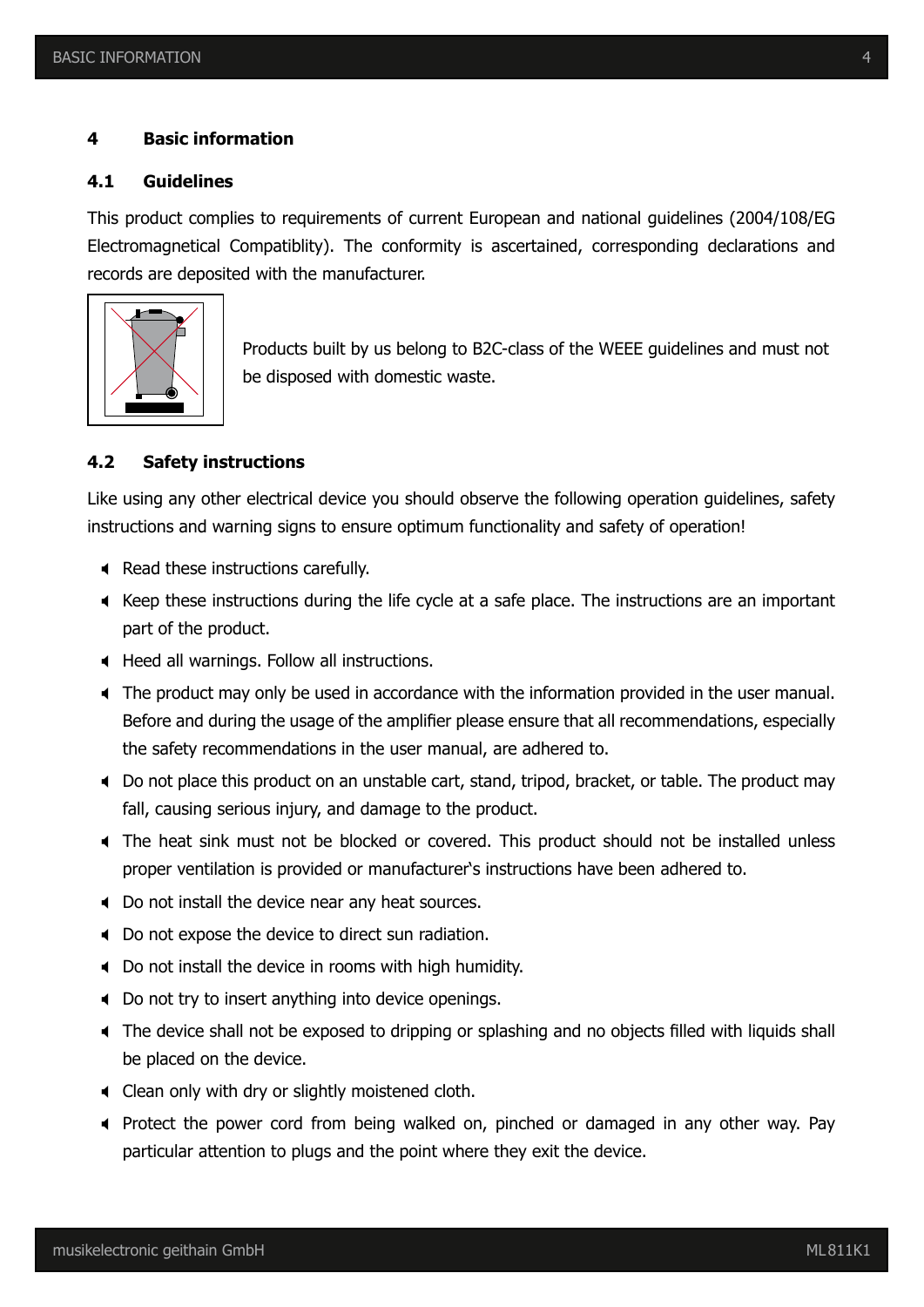#### **4 Basic information**

#### **4.1 Guidelines**

This product complies to requirements of current European and national guidelines (2004/108/EG Electromagnetical Compatiblity). The conformity is ascertained, corresponding declarations and records are deposited with the manufacturer.



Products built by us belong to B2C-class of the WEEE guidelines and must not be disposed with domestic waste.

#### **4.2 Safety instructions**

Like using any other electrical device you should observe the following operation guidelines, safety instructions and warning signs to ensure optimum functionality and safety of operation!

- Read these instructions carefully.
- $\blacktriangleleft$  Keep these instructions during the life cycle at a safe place. The instructions are an important part of the product.
- ; Heed all warnings. Follow all instructions.
- ; The product may only be used in accordance with the information provided in the user manual. Before and during the usage of the amplifier please ensure that all recommendations, especially the safety recommendations in the user manual, are adhered to.
- ; Do not place this product on an unstable cart, stand, tripod, bracket, or table. The product may fall, causing serious injury, and damage to the product.
- ; The heat sink must not be blocked or covered. This product should not be installed unless proper ventilation is provided or manufacturer's instructions have been adhered to.
- $\triangleleft$  Do not install the device near any heat sources.
- ; Do not expose the device to direct sun radiation.
- ; Do not install the device in rooms with high humidity.
- ; Do not try to insert anything into device openings.
- ; The device shall not be exposed to dripping or splashing and no objects filled with liquids shall be placed on the device.
- $\triangleleft$  Clean only with dry or slightly moistened cloth.
- ; Protect the power cord from being walked on, pinched or damaged in any other way. Pay particular attention to plugs and the point where they exit the device.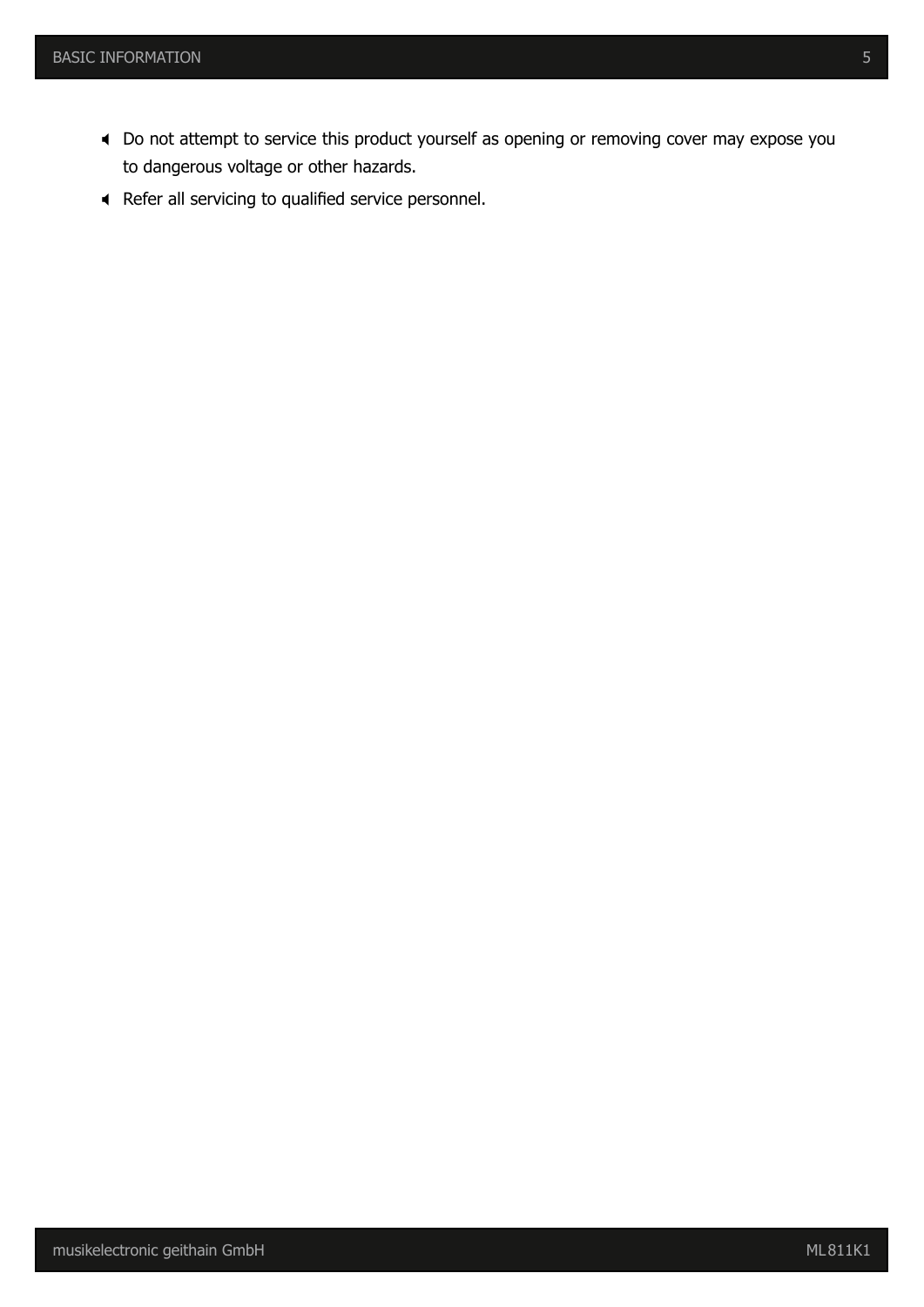- ; Do not attempt to service this product yourself as opening or removing cover may expose you to dangerous voltage or other hazards.
- ; Refer all servicing to qualified service personnel.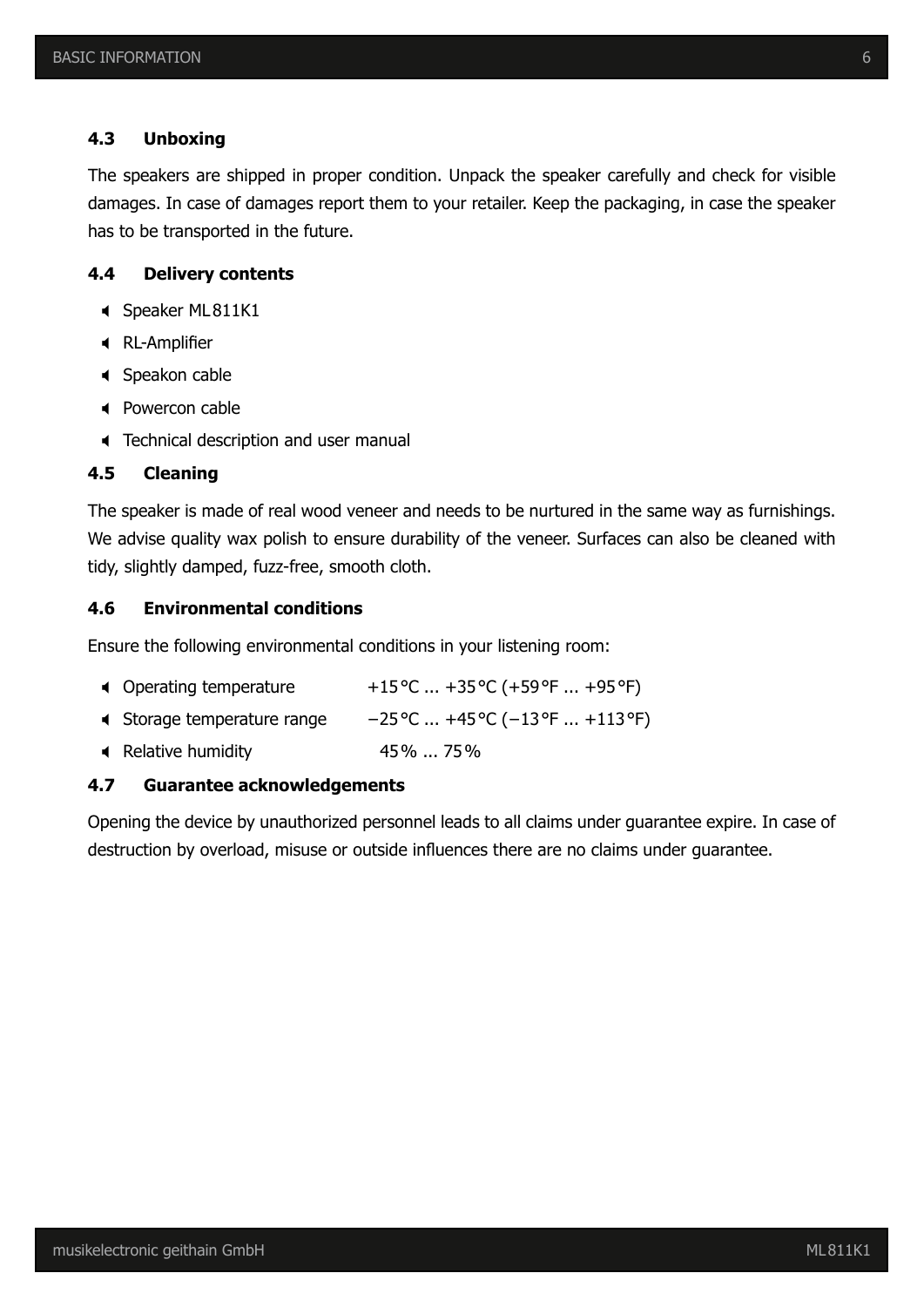#### **4.3 Unboxing**

The speakers are shipped in proper condition. Unpack the speaker carefully and check for visible damages. In case of damages report them to your retailer. Keep the packaging, in case the speaker has to be transported in the future.

#### **4.4 Delivery contents**

- Speaker ML811K1
- $\triangleleft$  RL-Amplifier
- Speakon cable
- Powercon cable
- **Technical description and user manual**

#### **4.5 Cleaning**

The speaker is made of real wood veneer and needs to be nurtured in the same way as furnishings. We advise quality wax polish to ensure durability of the veneer. Surfaces can also be cleaned with tidy, slightly damped, fuzz-free, smooth cloth.

#### **4.6 Environmental conditions**

Ensure the following environmental conditions in your listening room:

- 
- ; Storage temperature range −25°C ... +45°C (−13°F ... +113°F)
- ; Relative humidity 45% ... 75%

#### **4.7 Guarantee acknowledgements**

Opening the device by unauthorized personnel leads to all claims under guarantee expire. In case of destruction by overload, misuse or outside influences there are no claims under guarantee.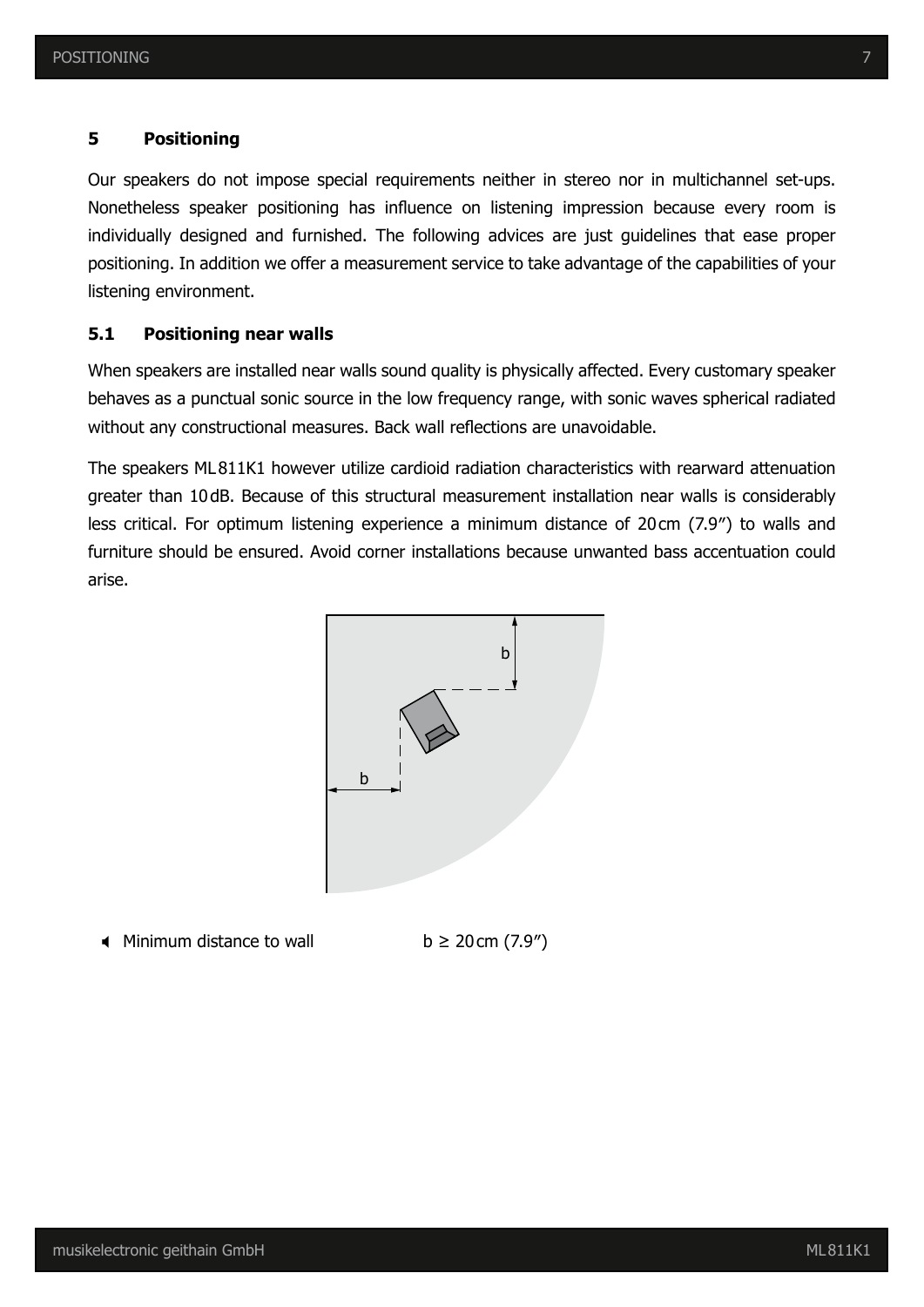#### **5 Positioning**

Our speakers do not impose special requirements neither in stereo nor in multichannel set-ups. Nonetheless speaker positioning has influence on listening impression because every room is individually designed and furnished. The following advices are just guidelines that ease proper positioning. In addition we offer a measurement service to take advantage of the capabilities of your listening environment.

#### **5.1 Positioning near walls**

When speakers are installed near walls sound quality is physically affected. Every customary speaker behaves as a punctual sonic source in the low frequency range, with sonic waves spherical radiated without any constructional measures. Back wall reflections are unavoidable.

The speakers ML811K1 however utilize cardioid radiation characteristics with rearward attenuation greater than 10dB. Because of this structural measurement installation near walls is considerably less critical. For optimum listening experience a minimum distance of 20cm (7.9″) to walls and furniture should be ensured. Avoid corner installations because unwanted bass accentuation could arise.



 $\triangleleft$  Minimum distance to wall b ≥ 20cm (7.9")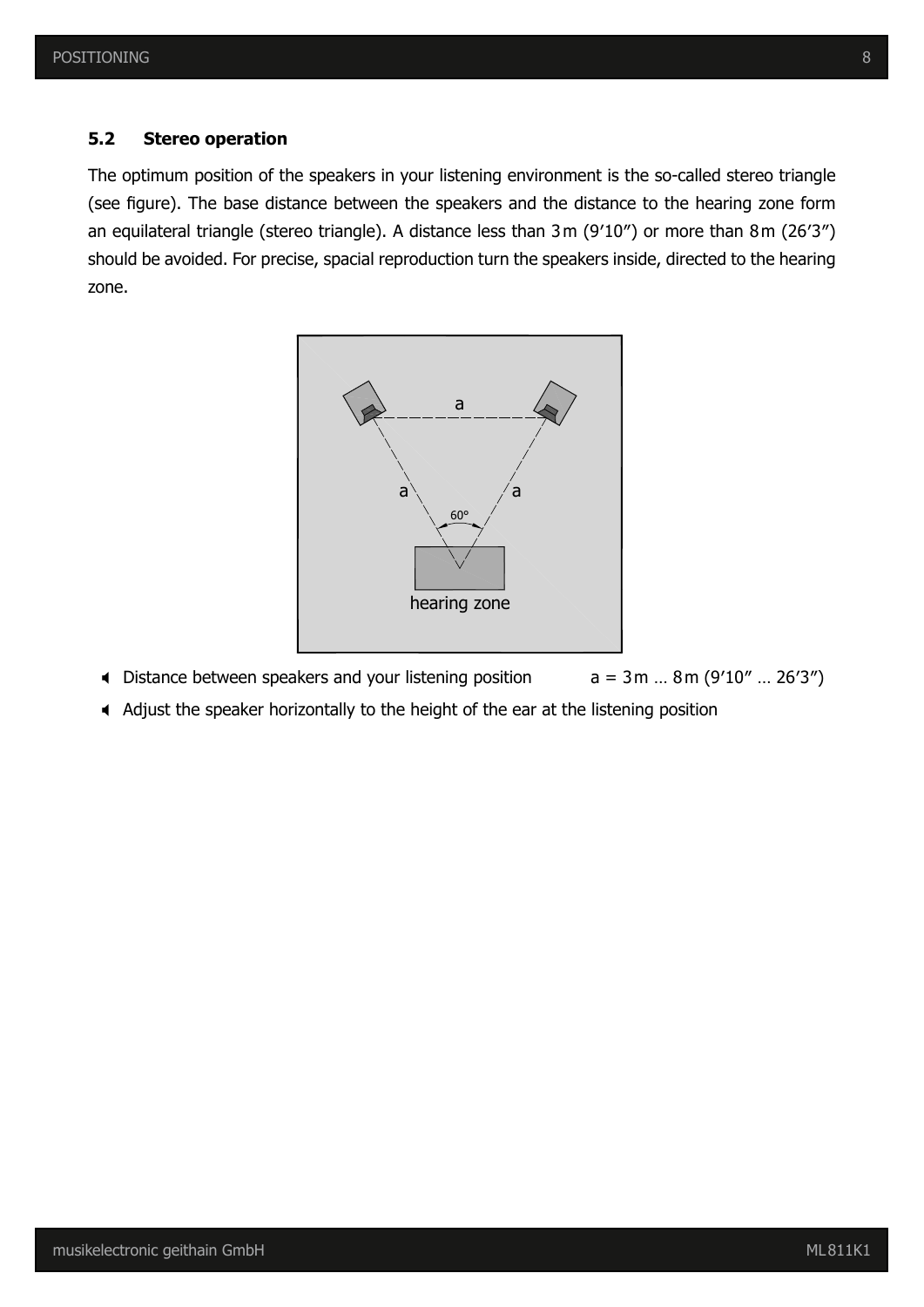#### **5.2 Stereo operation**

The optimum position of the speakers in your listening environment is the so-called stereo triangle (see figure). The base distance between the speakers and the distance to the hearing zone form an equilateral triangle (stereo triangle). A distance less than 3m (9′10″) or more than 8m (26′3″) should be avoided. For precise, spacial reproduction turn the speakers inside, directed to the hearing zone.



- 
- ; Adjust the speaker horizontally to the height of the ear at the listening position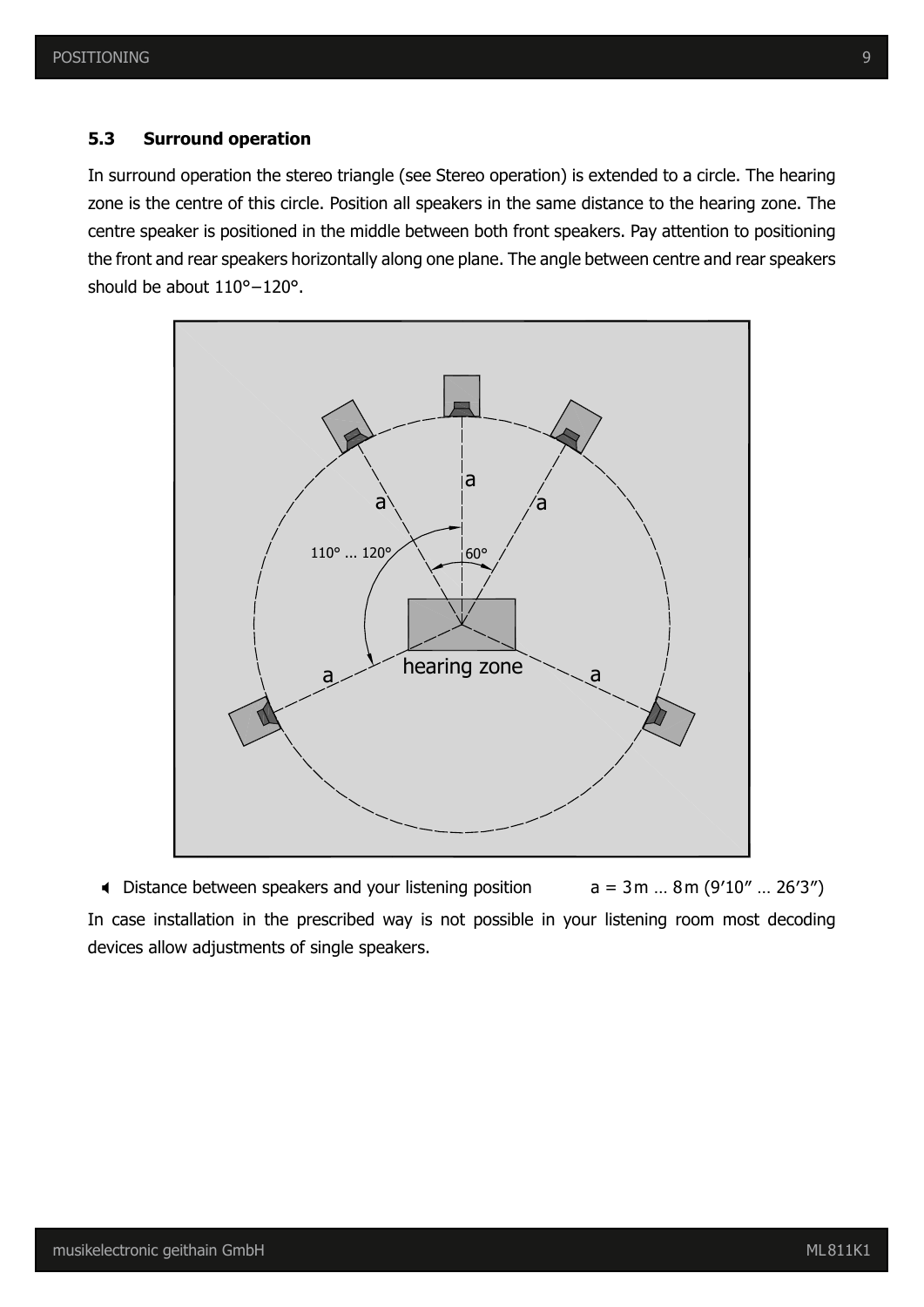### **5.3 Surround operation**

In surround operation the stereo triangle (see Stereo operation) is extended to a circle. The hearing zone is the centre of this circle. Position all speakers in the same distance to the hearing zone. The centre speaker is positioned in the middle between both front speakers. Pay attention to positioning the front and rear speakers horizontally along one plane. The angle between centre and rear speakers should be about 110°–120°.



In case installation in the prescribed way is not possible in your listening room most decoding devices allow adjustments of single speakers.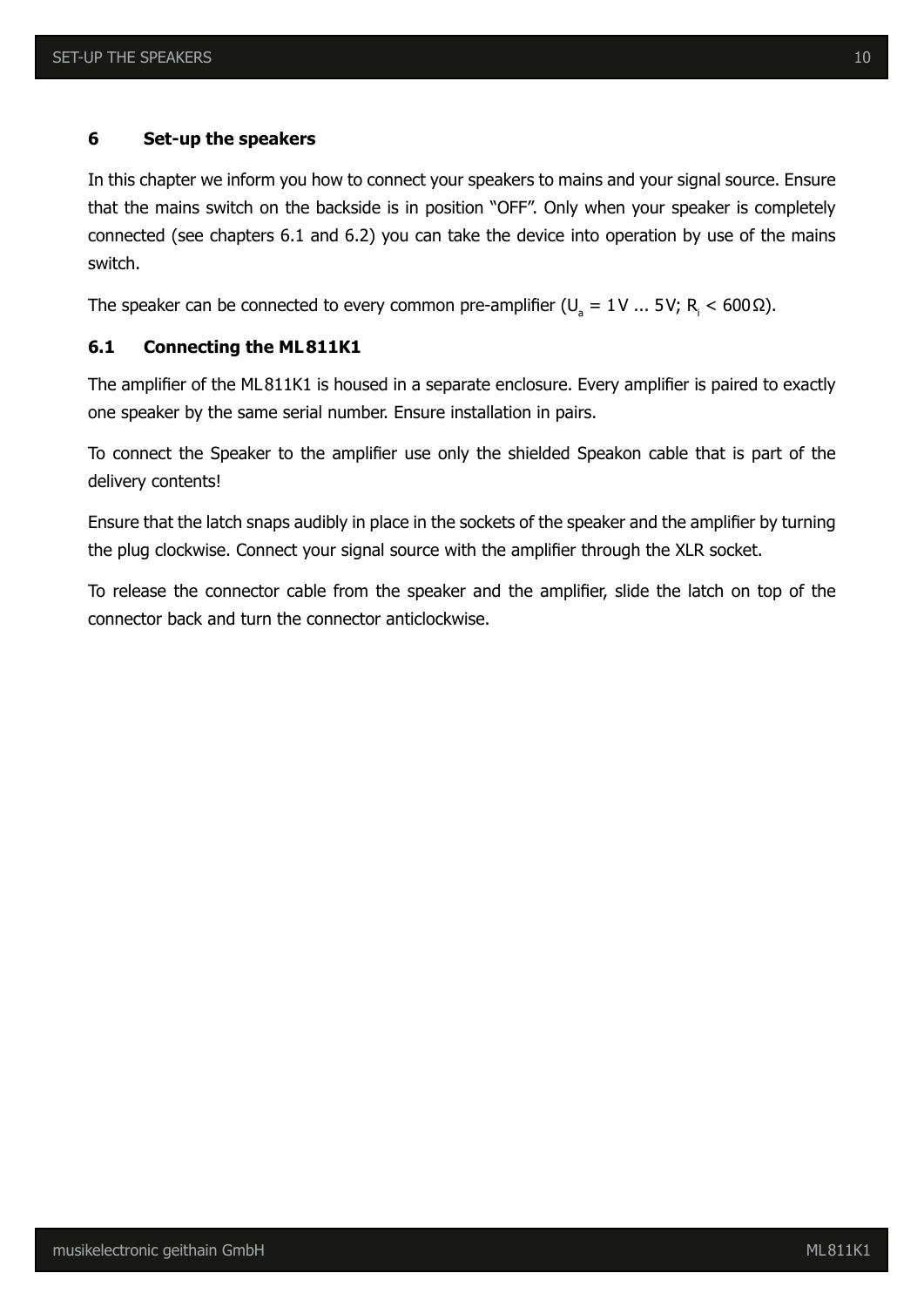#### **6 Set-up the speakers**

In this chapter we inform you how to connect your speakers to mains and your signal source. Ensure that the mains switch on the backside is in position "OFF". Only when your speaker is completely connected (see chapters 6.1 and 6.2) you can take the device into operation by use of the mains switch.

The speaker can be connected to every common pre-amplifier (U<sub>a</sub> = 1V ... 5V; R<sub>i</sub> < 600 Ω).

#### **6.1 Connecting the ML811K1**

The amplifier of the ML811K1 is housed in a separate enclosure. Every amplifier is paired to exactly one speaker by the same serial number. Ensure installation in pairs.

To connect the Speaker to the amplifier use only the shielded Speakon cable that is part of the delivery contents!

Ensure that the latch snaps audibly in place in the sockets of the speaker and the amplifier by turning the plug clockwise. Connect your signal source with the amplifier through the XLR socket.

To release the connector cable from the speaker and the amplifier, slide the latch on top of the connector back and turn the connector anticlockwise.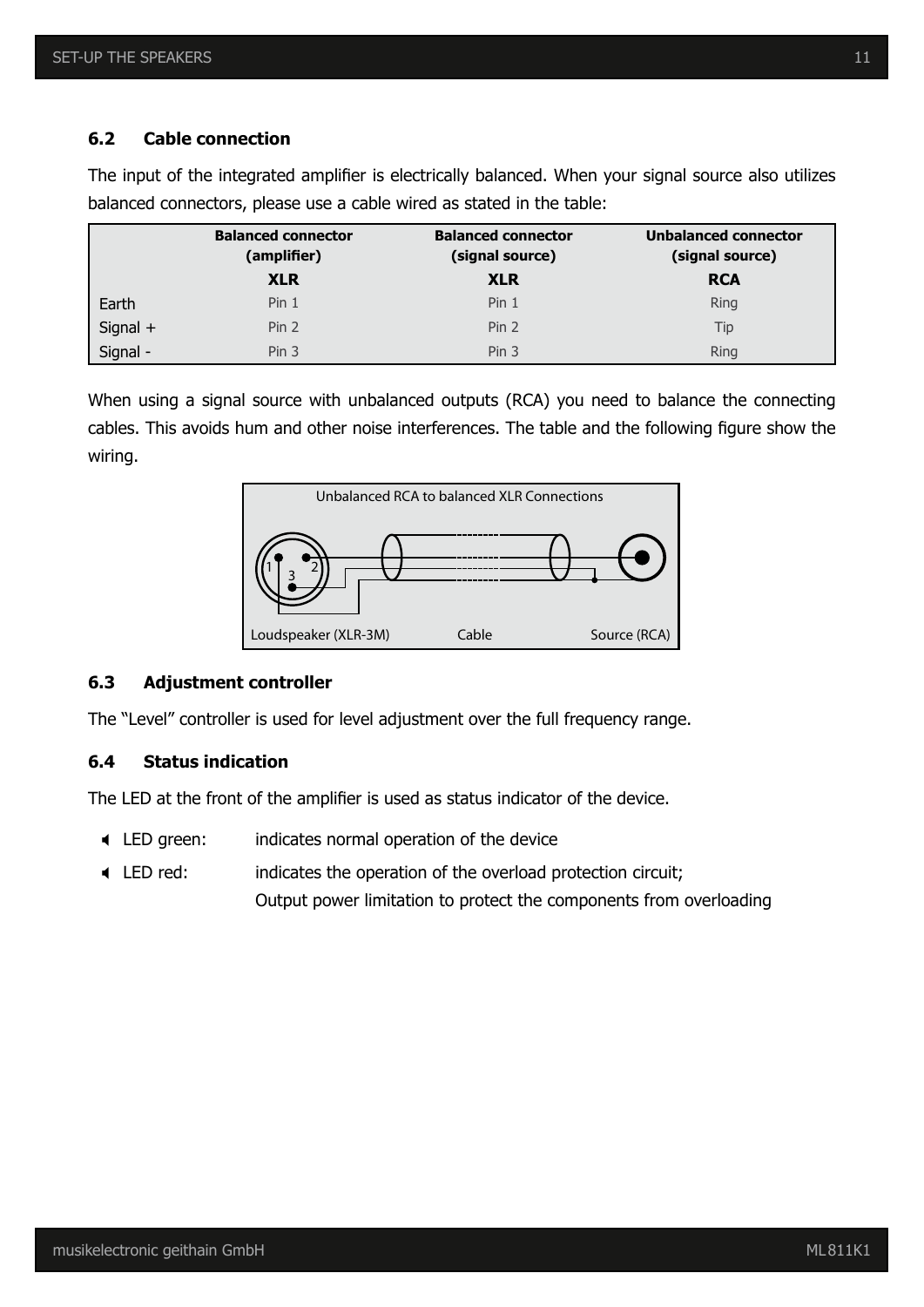#### **6.2 Cable connection**

|          | <b>Balanced connector</b><br>(amplifier) | <b>Balanced connector</b><br>(signal source) | <b>Unbalanced connector</b><br>(signal source) |
|----------|------------------------------------------|----------------------------------------------|------------------------------------------------|
|          | <b>XLR</b>                               | <b>XLR</b>                                   | <b>RCA</b>                                     |
| Earth    | Pin <sub>1</sub>                         | Pin <sub>1</sub>                             | <b>Ring</b>                                    |
| Signal + | Pin <sub>2</sub>                         | Pin <sub>2</sub>                             | Tip                                            |
| Signal - | Pin <sub>3</sub>                         | Pin <sub>3</sub>                             | <b>Ring</b>                                    |

The input of the integrated amplifier is electrically balanced. When your signal source also utilizes balanced connectors, please use a cable wired as stated in the table:

When using a signal source with unbalanced outputs (RCA) you need to balance the connecting cables. This avoids hum and other noise interferences. The table and the following figure show the wiring.



#### **6.3 Adjustment controller**

The "Level" controller is used for level adjustment over the full frequency range.

#### **6.4 Status indication**

The LED at the front of the amplifier is used as status indicator of the device.

- ; LED green: indicates normal operation of the device
- ; LED red: indicates the operation of the overload protection circuit; Output power limitation to protect the components from overloading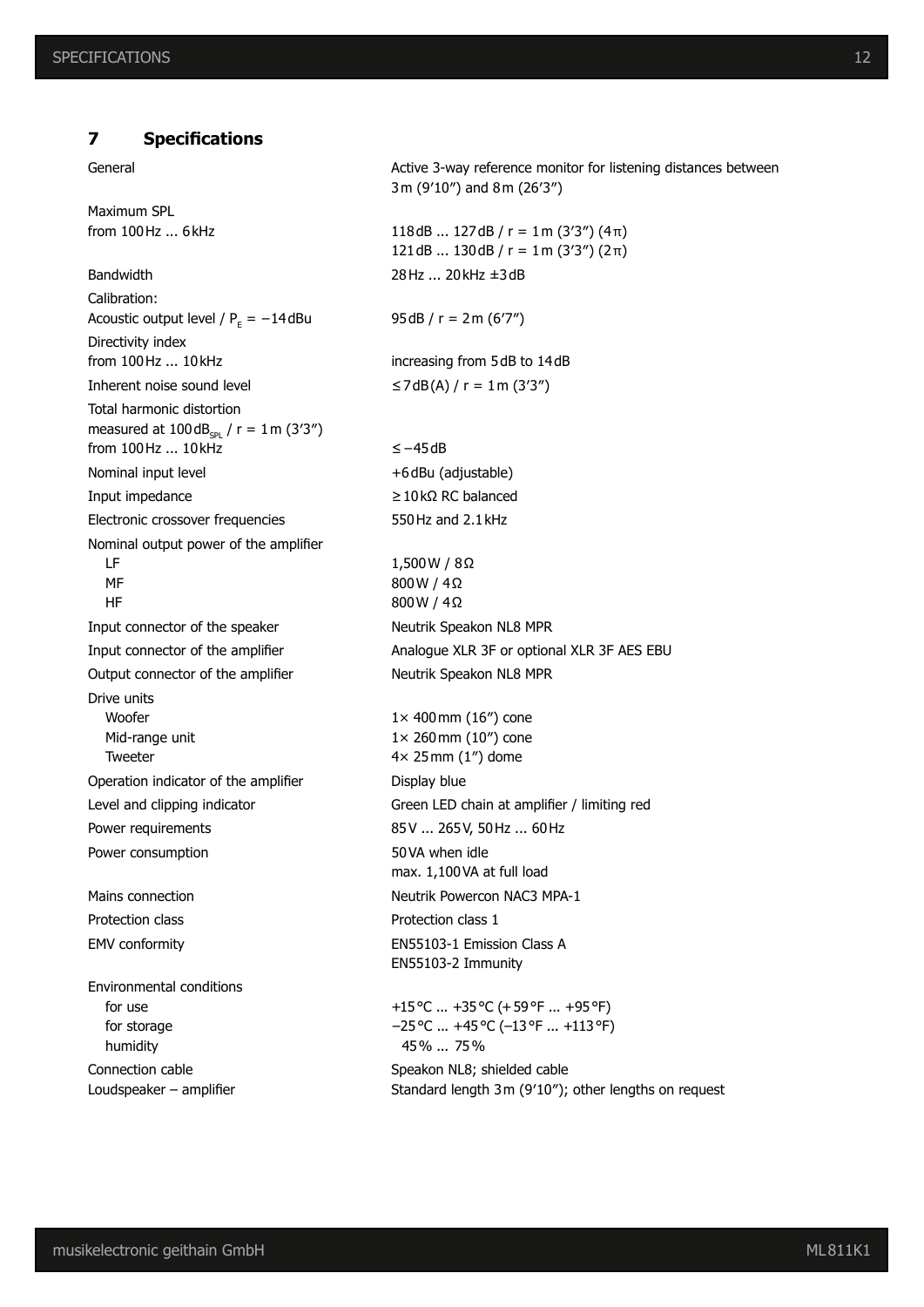#### **7 Specifications**

Maximum SPL

Calibration: Acoustic output level /  $P_F = -14$  dBu Directivity index from 100Hz ... 10kHz increasing from 5dB to 14dB Inherent noise sound level  $\leq$ 7dB(A) / r = 1m (3'3") Total harmonic distortion measured at  $100 dB_{cpl}$  / r = 1m (3'3") from 100Hz ... 10kHz ≤−45dB Nominal input level  $+6$ dBu (adjustable) Input impedance  $≥10kΩ RC$  balanced Electronic crossover frequencies 550Hz and 2.1kHz Nominal output power of the amplifier LF MF HF Input connector of the speaker Neutrik Speakon NL8 MPR Output connector of the amplifier Neutrik Speakon NL8 MPR Drive units Woofer Mid-range unit Tweeter Operation indicator of the amplifier Display blue Power requirements 85V ... 265V, 50Hz ... 60Hz Power consumption 50VA when idle Mains connection Neutrik Powercon NAC3 MPA-1 Protection class **Protection class** 1 EMV conformity EN55103-1 Emission Class A Environmental conditions for use for storage

 humidity Connection cable Loudspeaker – amplifier

General **Active 3-way reference monitor for listening distances between** 3m (9′10″) and 8m (26′3″) from 100Hz ... 6kHz  $118dB$  ... 127dB / r = 1m (3'3") (4 $\pi$ ) 121dB ... 130dB /  $r = 1$  m (3'3") (2π) Bandwidth 28Hz ... 20kHz ±3dB  $95dB / r = 2m (67")$ 1,500W / 8Ω 800W / 4Ω 800W / 4Ω Input connector of the amplifier Analogue XLR 3F or optional XLR 3F AES EBU 1× 400mm (16″) cone 1× 260mm (10″) cone 4× 25mm (1″) dome Level and clipping indicator Green LED chain at amplifier / limiting red max. 1,100VA at full load EN55103-2 Immunity

> +15°C ... +35°C (+59°F ... +95°F) −25°C ... +45°C (−13°F ... +113°F) 45% ... 75%

Speakon NL8; shielded cable Standard length 3m (9′10″); other lengths on request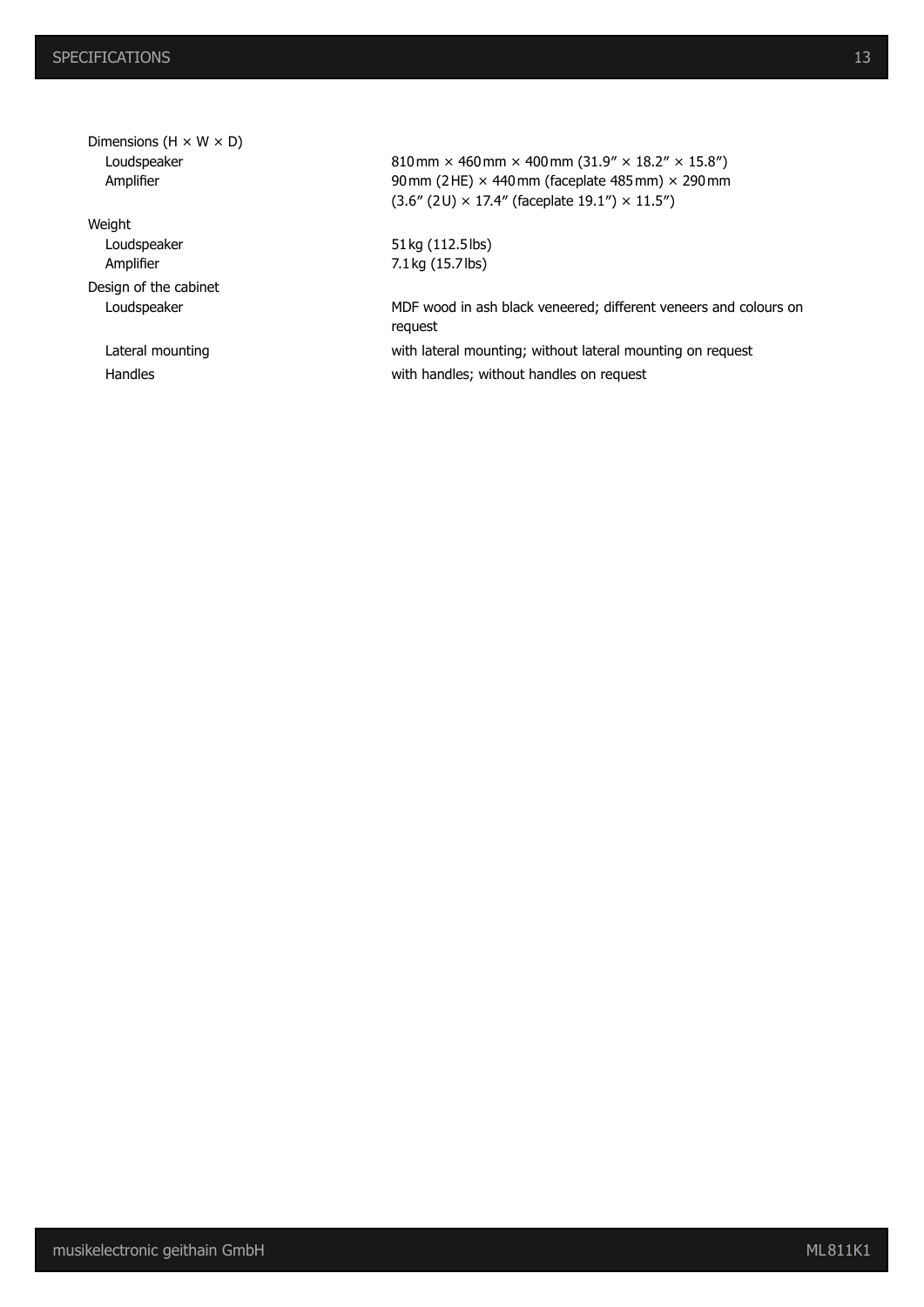Dimensions  $(H \times W \times D)$  Loudspeaker Amplifier

Weight Loudspeaker Amplifier Design of the cabinet

810mm × 460mm × 400mm (31.9" × 18.2" × 15.8") 90 mm (2HE)  $\times$  440 mm (faceplate 485 mm)  $\times$  290 mm  $(3.6'' (2$ U) × 17.4" (faceplate 19.1") × 11.5")

51kg (112.5lbs) 7.1kg (15.7lbs)

Loudspeaker MDF wood in ash black veneered; different veneers and colours on request

Lateral mounting **Example 20** with lateral mounting; without lateral mounting on request Handles **Handles Handles With handles**; without handles on request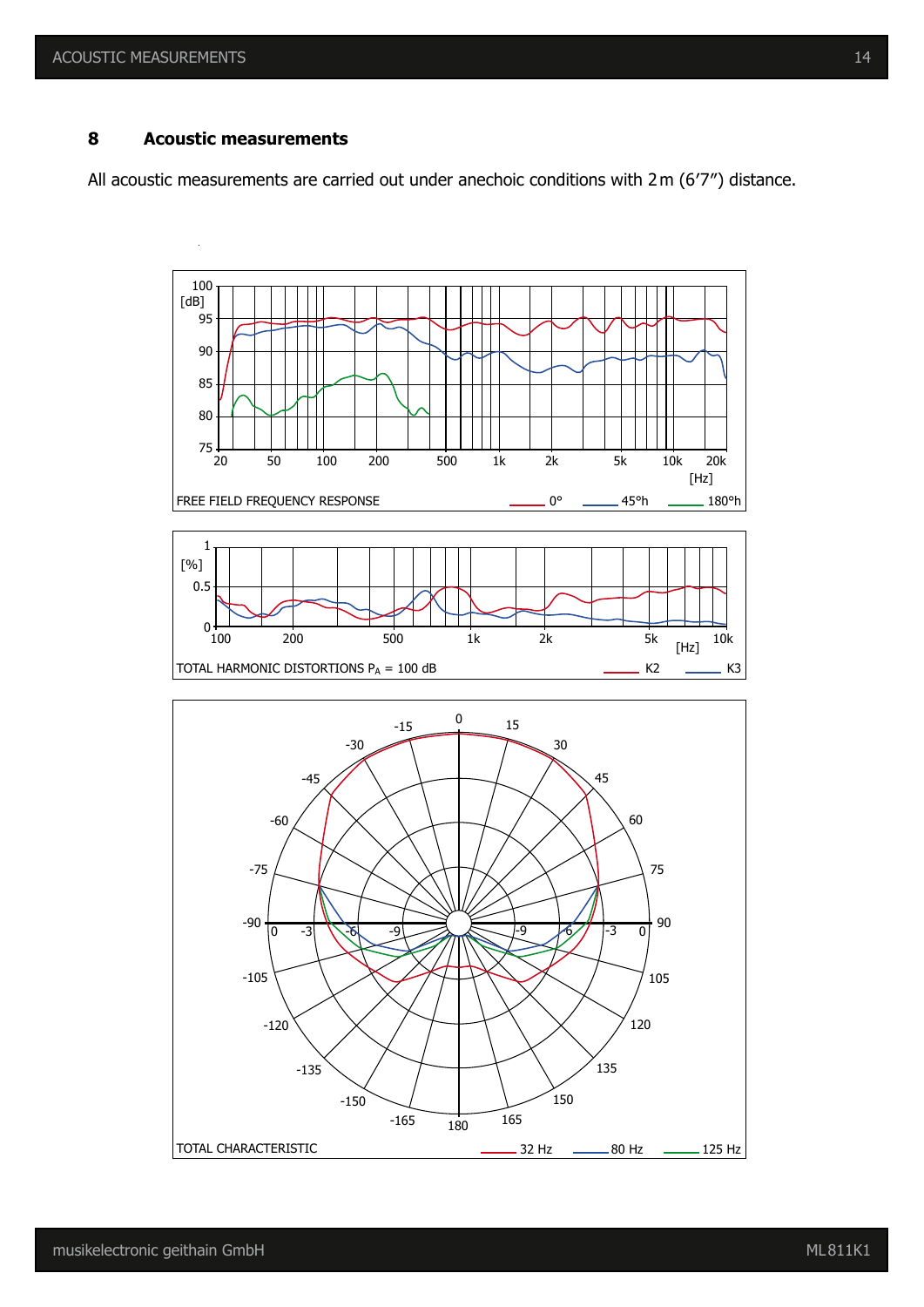#### **8 Acoustic measurements**

All acoustic measurements are carried out under anechoic conditions with 2m (6′7″) distance.